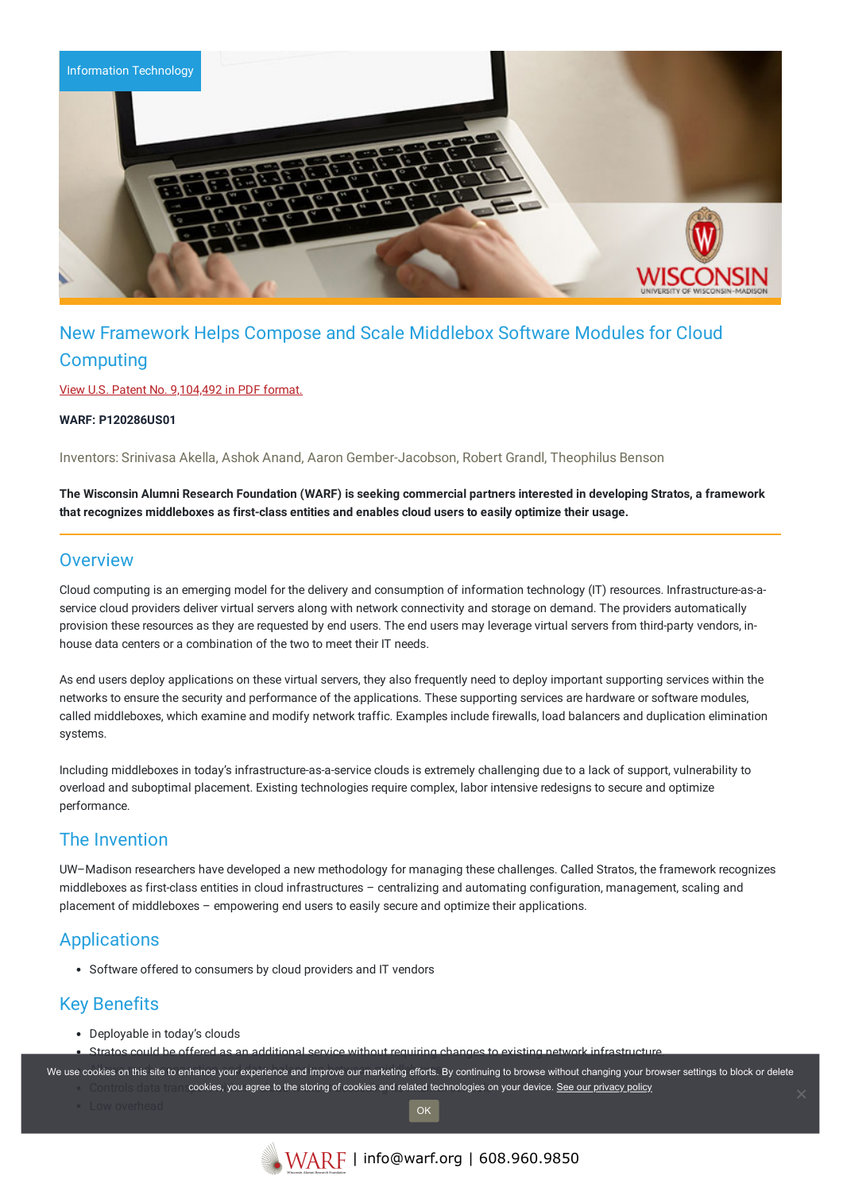

# New Framework Helps Compose and Scale Middlebox Software Modules for Cloud **Computing**

View U.S. Patent No. [9,104,492](https://www.warf.org/wp-content/uploads/technologies/ipstatus/P120286US01.PDF) in PDF format.

**WARF: P120286US01**

Inventors: Srinivasa Akella, Ashok Anand, Aaron Gember-Jacobson, Robert Grandl, Theophilus Benson

The Wisconsin Alumni Research Foundation (WARF) is seeking commercial partners interested in developing Stratos, a framework **that recognizes middleboxes as first-class entities and enables cloud users to easily optimize their usage.**

### **Overview**

Cloud computing is an emerging model for the delivery and consumption of information technology (IT) resources. Infrastructure-as-aservice cloud providers deliver virtual servers along with network connectivity and storage on demand. The providers automatically provision these resources as they are requested by end users. The end users may leverage virtual servers from third-party vendors, inhouse data centers or a combination of the two to meet their IT needs.

As end users deploy applications on these virtual servers, they also frequently need to deploy important supporting services within the networks to ensure the security and performance of the applications. These supporting services are hardware or software modules, called middleboxes, which examine and modify network traffic. Examples include firewalls, load balancers and duplication elimination systems.

Including middleboxes in today's infrastructure-as-a-service clouds is extremely challenging due to a lack of support, vulnerability to overload and suboptimal placement. Existing technologies require complex, labor intensive redesigns to secure and optimize performance.

### The Invention

UW–Madison researchers have developed a new methodology for managing these challenges. Called Stratos, the framework recognizes middleboxes as first-class entities in cloud infrastructures – centralizing and automating configuration, management, scaling and placement of middleboxes – empowering end users to easily secure and optimize their applications.

## **Applications**

• Software offered to consumers by cloud providers and IT vendors

## Key Benefits

- Deployable in today's clouds
- Stratos could be offered as an additional service without requiring changes to existing network infrastructure.

We use cookies on this site to enhance your experience and improve our marketing efforts. By continuing to browse without changing your browser settings to block or delete Controls data transported with a cookies, you agree to the storing of cookies and related technologies on your device. [See our privacy policy](https://www.warf.org/privacy-policy/)